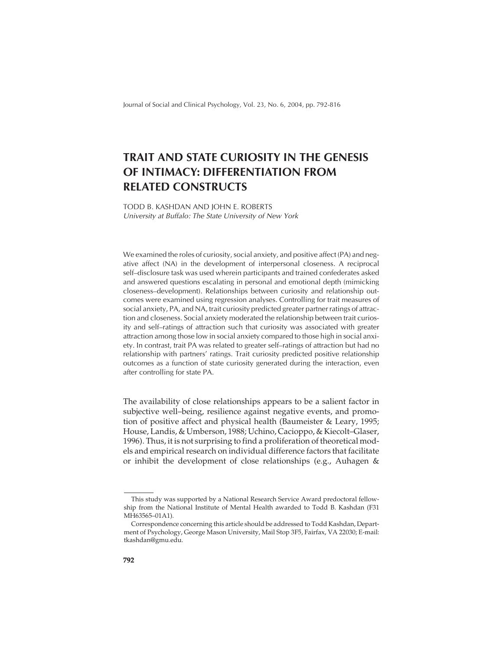Journal of Social and Clinical Psychology, Vol. 23, No. 6, 2004, pp. 792-816

# **TRAIT AND STATE CURIOSITY IN THE GENESIS OF INTIMACY: DIFFERENTIATION FROM RELATED CONSTRUCTS**

TODD B. KASHDAN AND JOHN E. ROBERTS University at Buffalo: The State University of New York

We examined the roles of curiosity, social anxiety, and positive affect (PA) and negative affect (NA) in the development of interpersonal closeness. A reciprocal self–disclosure task was used wherein participants and trained confederates asked and answered questions escalating in personal and emotional depth (mimicking closeness–development). Relationships between curiosity and relationship outcomes were examined using regression analyses. Controlling for trait measures of social anxiety, PA, and NA, trait curiosity predicted greater partner ratings of attraction and closeness. Social anxiety moderated the relationship between trait curiosity and self–ratings of attraction such that curiosity was associated with greater attraction among those low in social anxiety compared to those high in social anxiety. In contrast, trait PA was related to greater self–ratings of attraction but had no relationship with partners' ratings. Trait curiosity predicted positive relationship outcomes as a function of state curiosity generated during the interaction, even after controlling for state PA.

The availability of close relationships appears to be a salient factor in subjective well–being, resilience against negative events, and promotion of positive affect and physical health (Baumeister & Leary, 1995; House, Landis, & Umberson, 1988; Uchino, Cacioppo, & Kiecolt–Glaser, 1996). Thus, it is not surprising to find a proliferation of theoretical models and empirical research on individual difference factors that facilitate or inhibit the development of close relationships (e.g., Auhagen &

This study was supported by a National Research Service Award predoctoral fellowship from the National Institute of Mental Health awarded to Todd B. Kashdan (F31 MH63565–01A1).

Correspondence concerning this article should be addressed to Todd Kashdan, Department of Psychology, George Mason University, Mail Stop 3F5, Fairfax, VA 22030; E-mail: tkashdan@gmu.edu.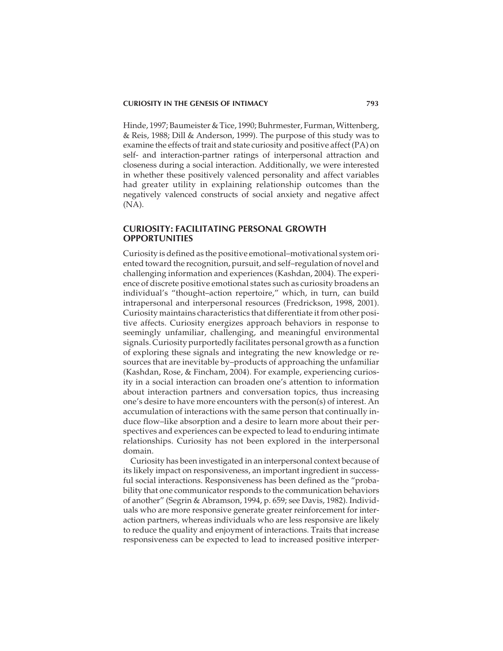Hinde, 1997; Baumeister & Tice, 1990; Buhrmester, Furman, Wittenberg, & Reis, 1988; Dill & Anderson, 1999). The purpose of this study was to examine the effects of trait and state curiosity and positive affect (PA) on self- and interaction-partner ratings of interpersonal attraction and closeness during a social interaction. Additionally, we were interested in whether these positively valenced personality and affect variables had greater utility in explaining relationship outcomes than the negatively valenced constructs of social anxiety and negative affect (NA).

# **CURIOSITY: FACILITATING PERSONAL GROWTH OPPORTUNITIES**

Curiosity is defined as the positive emotional–motivational system oriented toward the recognition, pursuit, and self–regulation of novel and challenging information and experiences (Kashdan, 2004). The experience of discrete positive emotional states such as curiosity broadens an individual's "thought–action repertoire," which, in turn, can build intrapersonal and interpersonal resources (Fredrickson, 1998, 2001). Curiosity maintains characteristics that differentiate it from other positive affects. Curiosity energizes approach behaviors in response to seemingly unfamiliar, challenging, and meaningful environmental signals. Curiosity purportedly facilitates personal growth as a function of exploring these signals and integrating the new knowledge or resources that are inevitable by–products of approaching the unfamiliar (Kashdan, Rose, & Fincham, 2004). For example, experiencing curiosity in a social interaction can broaden one's attention to information about interaction partners and conversation topics, thus increasing one's desire to have more encounters with the person(s) of interest. An accumulation of interactions with the same person that continually induce flow–like absorption and a desire to learn more about their perspectives and experiences can be expected to lead to enduring intimate relationships. Curiosity has not been explored in the interpersonal domain.

Curiosity has been investigated in an interpersonal context because of its likely impact on responsiveness, an important ingredient in successful social interactions. Responsiveness has been defined as the "probability that one communicator responds to the communication behaviors of another" (Segrin & Abramson, 1994, p. 659; see Davis, 1982). Individuals who are more responsive generate greater reinforcement for interaction partners, whereas individuals who are less responsive are likely to reduce the quality and enjoyment of interactions. Traits that increase responsiveness can be expected to lead to increased positive interper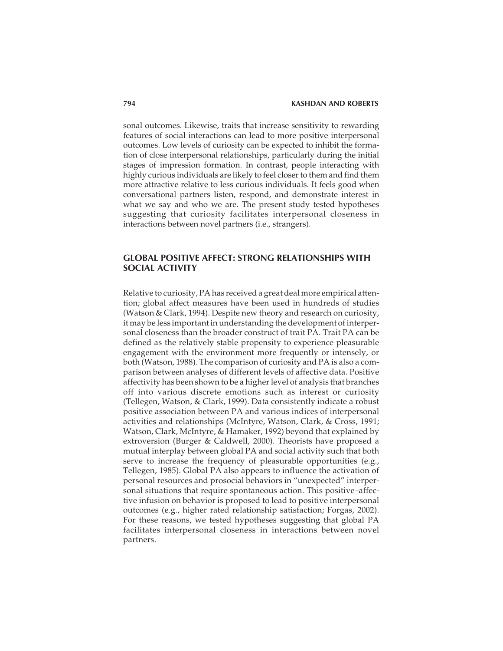sonal outcomes. Likewise, traits that increase sensitivity to rewarding features of social interactions can lead to more positive interpersonal outcomes. Low levels of curiosity can be expected to inhibit the formation of close interpersonal relationships, particularly during the initial stages of impression formation. In contrast, people interacting with highly curious individuals are likely to feel closer to them and find them more attractive relative to less curious individuals. It feels good when conversational partners listen, respond, and demonstrate interest in what we say and who we are. The present study tested hypotheses suggesting that curiosity facilitates interpersonal closeness in interactions between novel partners (i.e., strangers).

# **GLOBAL POSITIVE AFFECT: STRONG RELATIONSHIPS WITH SOCIAL ACTIVITY**

Relative to curiosity, PA has received a great deal more empirical attention; global affect measures have been used in hundreds of studies (Watson & Clark, 1994). Despite new theory and research on curiosity, it may be less important in understanding the development of interpersonal closeness than the broader construct of trait PA. Trait PA can be defined as the relatively stable propensity to experience pleasurable engagement with the environment more frequently or intensely, or both (Watson, 1988). The comparison of curiosity and PA is also a comparison between analyses of different levels of affective data. Positive affectivity has been shown to be a higher level of analysis that branches off into various discrete emotions such as interest or curiosity (Tellegen, Watson, & Clark, 1999). Data consistently indicate a robust positive association between PA and various indices of interpersonal activities and relationships (McIntyre, Watson, Clark, & Cross, 1991; Watson, Clark, McIntyre, & Hamaker, 1992) beyond that explained by extroversion (Burger & Caldwell, 2000). Theorists have proposed a mutual interplay between global PA and social activity such that both serve to increase the frequency of pleasurable opportunities (e.g., Tellegen, 1985). Global PA also appears to influence the activation of personal resources and prosocial behaviors in "unexpected" interpersonal situations that require spontaneous action. This positive–affective infusion on behavior is proposed to lead to positive interpersonal outcomes (e.g., higher rated relationship satisfaction; Forgas, 2002). For these reasons, we tested hypotheses suggesting that global PA facilitates interpersonal closeness in interactions between novel partners.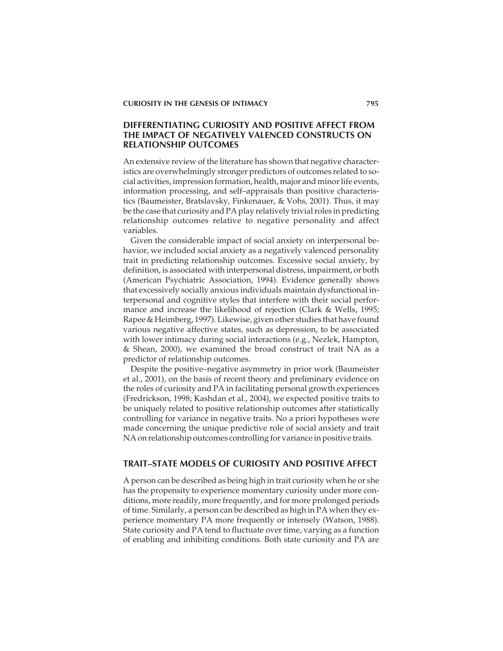# **DIFFERENTIATING CURIOSITY AND POSITIVE AFFECT FROM THE IMPACT OF NEGATIVELY VALENCED CONSTRUCTS ON RELATIONSHIP OUTCOMES**

An extensive review of the literature has shown that negative characteristics are overwhelmingly stronger predictors of outcomes related to social activities, impression formation, health, major and minor life events, information processing, and self–appraisals than positive characteristics (Baumeister, Bratslavsky, Finkenauer, & Vohs, 2001). Thus, it may be the case that curiosity and PA play relatively trivial roles in predicting relationship outcomes relative to negative personality and affect variables.

Given the considerable impact of social anxiety on interpersonal behavior, we included social anxiety as a negatively valenced personality trait in predicting relationship outcomes. Excessive social anxiety, by definition, is associated with interpersonal distress, impairment, or both (American Psychiatric Association, 1994). Evidence generally shows that excessively socially anxious individuals maintain dysfunctional interpersonal and cognitive styles that interfere with their social performance and increase the likelihood of rejection (Clark & Wells, 1995; Rapee & Heimberg, 1997). Likewise, given other studies that have found various negative affective states, such as depression, to be associated with lower intimacy during social interactions (e.g., Nezlek, Hampton, & Shean, 2000), we examined the broad construct of trait NA as a predictor of relationship outcomes.

Despite the positive–negative asymmetry in prior work (Baumeister et al., 2001), on the basis of recent theory and preliminary evidence on the roles of curiosity and PA in facilitating personal growth experiences (Fredrickson, 1998; Kashdan et al., 2004), we expected positive traits to be uniquely related to positive relationship outcomes after statistically controlling for variance in negative traits. No a priori hypotheses were made concerning the unique predictive role of social anxiety and trait NA on relationship outcomes controlling for variance in positive traits.

# **TRAIT–STATE MODELS OF CURIOSITY AND POSITIVE AFFECT**

A person can be described as being high in trait curiosity when he or she has the propensity to experience momentary curiosity under more conditions, more readily, more frequently, and for more prolonged periods of time. Similarly, a person can be described as high in PA when they experience momentary PA more frequently or intensely (Watson, 1988). State curiosity and PA tend to fluctuate over time, varying as a function of enabling and inhibiting conditions. Both state curiosity and PA are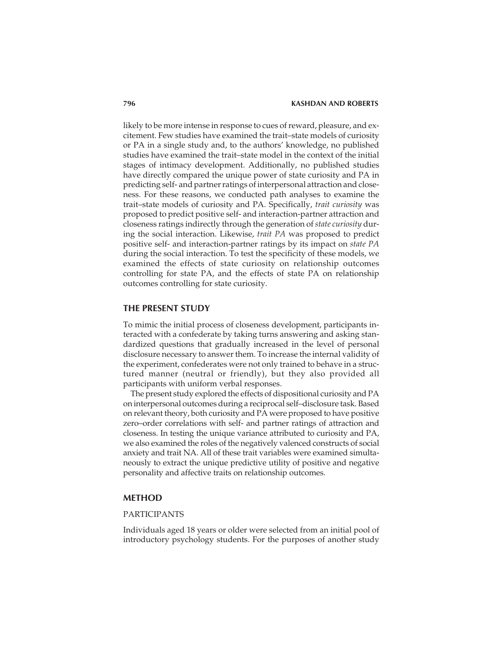likely to be more intense in response to cues of reward, pleasure, and excitement. Few studies have examined the trait–state models of curiosity or PA in a single study and, to the authors' knowledge, no published studies have examined the trait–state model in the context of the initial stages of intimacy development. Additionally, no published studies have directly compared the unique power of state curiosity and PA in predicting self- and partner ratings of interpersonal attraction and closeness. For these reasons, we conducted path analyses to examine the trait–state models of curiosity and PA. Specifically, *trait curiosity* was proposed to predict positive self- and interaction-partner attraction and closeness ratings indirectly through the generation of*state curiosity* during the social interaction. Likewise, *trait PA* was proposed to predict positive self- and interaction-partner ratings by its impact on *state PA* during the social interaction. To test the specificity of these models, we examined the effects of state curiosity on relationship outcomes controlling for state PA, and the effects of state PA on relationship outcomes controlling for state curiosity.

## **THE PRESENT STUDY**

To mimic the initial process of closeness development, participants interacted with a confederate by taking turns answering and asking standardized questions that gradually increased in the level of personal disclosure necessary to answer them. To increase the internal validity of the experiment, confederates were not only trained to behave in a structured manner (neutral or friendly), but they also provided all participants with uniform verbal responses.

The present study explored the effects of dispositional curiosity and PA on interpersonal outcomes during a reciprocal self–disclosure task. Based on relevant theory, both curiosity and PA were proposed to have positive zero–order correlations with self- and partner ratings of attraction and closeness. In testing the unique variance attributed to curiosity and PA, we also examined the roles of the negatively valenced constructs of social anxiety and trait NA. All of these trait variables were examined simultaneously to extract the unique predictive utility of positive and negative personality and affective traits on relationship outcomes.

## **METHOD**

### PARTICIPANTS

Individuals aged 18 years or older were selected from an initial pool of introductory psychology students. For the purposes of another study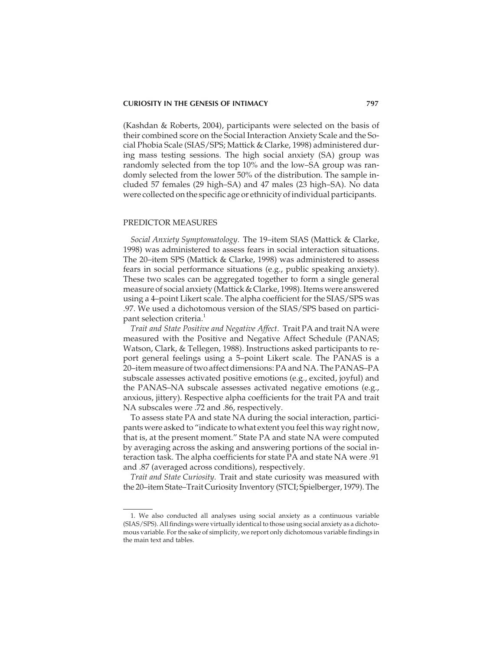(Kashdan & Roberts, 2004), participants were selected on the basis of their combined score on the Social Interaction Anxiety Scale and the Social Phobia Scale (SIAS/SPS; Mattick & Clarke, 1998) administered during mass testing sessions. The high social anxiety (SA) group was randomly selected from the top 10% and the low–SA group was randomly selected from the lower 50% of the distribution. The sample included 57 females (29 high–SA) and 47 males (23 high–SA). No data were collected on the specific age or ethnicity of individual participants.

#### PREDICTOR MEASURES

*Social Anxiety Symptomatology.* The 19–item SIAS (Mattick & Clarke, 1998) was administered to assess fears in social interaction situations. The 20–item SPS (Mattick & Clarke, 1998) was administered to assess fears in social performance situations (e.g., public speaking anxiety). These two scales can be aggregated together to form a single general measure of social anxiety (Mattick & Clarke, 1998). Items were answered using a 4–point Likert scale. The alpha coefficient for the SIAS/SPS was .97. We used a dichotomous version of the SIAS/SPS based on participant selection criteria.<sup>1</sup>

*Trait and State Positive and Negative Affect.* Trait PA and trait NA were measured with the Positive and Negative Affect Schedule (PANAS; Watson, Clark, & Tellegen, 1988). Instructions asked participants to report general feelings using a 5–point Likert scale. The PANAS is a 20–item measure of two affect dimensions: PA and NA. The PANAS–PA subscale assesses activated positive emotions (e.g., excited, joyful) and the PANAS–NA subscale assesses activated negative emotions (e.g., anxious, jittery). Respective alpha coefficients for the trait PA and trait NA subscales were .72 and .86, respectively.

To assess state PA and state NA during the social interaction, participants were asked to "indicate to what extent you feel this way right now, that is, at the present moment." State PA and state NA were computed by averaging across the asking and answering portions of the social interaction task. The alpha coefficients for state PA and state NA were .91 and .87 (averaged across conditions), respectively.

*Trait and State Curiosity.* Trait and state curiosity was measured with the 20–item State–Trait Curiosity Inventory (STCI; Spielberger, 1979). The

<sup>1.</sup> We also conducted all analyses using social anxiety as a continuous variable (SIAS/SPS). All findings were virtually identical to those using social anxiety as a dichotomous variable. For the sake of simplicity, we report only dichotomous variable findings in the main text and tables.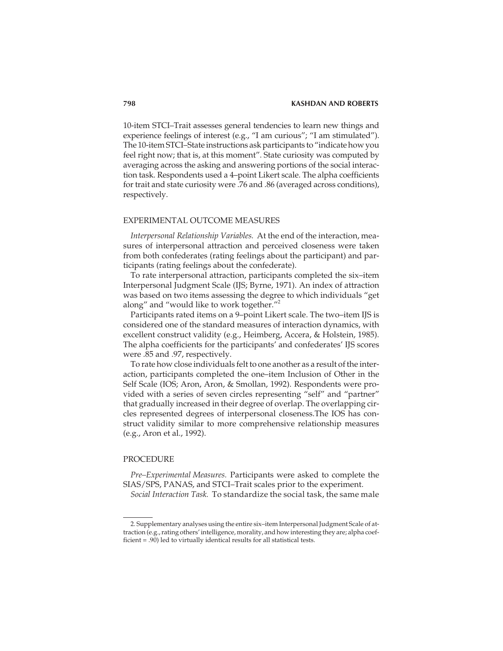10-item STCI–Trait assesses general tendencies to learn new things and experience feelings of interest (e.g., "I am curious"; "I am stimulated"). The 10-item STCI–State instructions ask participants to "indicate how you feel right now; that is, at this moment". State curiosity was computed by averaging across the asking and answering portions of the social interaction task. Respondents used a 4–point Likert scale. The alpha coefficients for trait and state curiosity were .76 and .86 (averaged across conditions), respectively.

#### EXPERIMENTAL OUTCOME MEASURES

*Interpersonal Relationship Variables.* At the end of the interaction, measures of interpersonal attraction and perceived closeness were taken from both confederates (rating feelings about the participant) and participants (rating feelings about the confederate).

To rate interpersonal attraction, participants completed the six–item Interpersonal Judgment Scale (IJS; Byrne, 1971). An index of attraction was based on two items assessing the degree to which individuals "get along" and "would like to work together."<sup>2</sup>

Participants rated items on a 9–point Likert scale. The two–item IJS is considered one of the standard measures of interaction dynamics, with excellent construct validity (e.g., Heimberg, Accera, & Holstein, 1985). The alpha coefficients for the participants' and confederates' IJS scores were .85 and .97, respectively.

To rate how close individuals felt to one another as a result of the interaction, participants completed the one–item Inclusion of Other in the Self Scale (IOS; Aron, Aron, & Smollan, 1992). Respondents were provided with a series of seven circles representing "self" and "partner" that gradually increased in their degree of overlap. The overlapping circles represented degrees of interpersonal closeness.The IOS has construct validity similar to more comprehensive relationship measures (e.g., Aron et al., 1992).

#### PROCEDURE

*Pre–Experimental Measures.* Participants were asked to complete the SIAS/SPS, PANAS, and STCI–Trait scales prior to the experiment.

*Social Interaction Task.* To standardize the social task, the same male

<sup>2.</sup> Supplementary analyses using the entire six–item Interpersonal Judgment Scale of attraction (e.g., rating others' intelligence, morality, and how interesting they are; alpha coefficient = .90) led to virtually identical results for all statistical tests.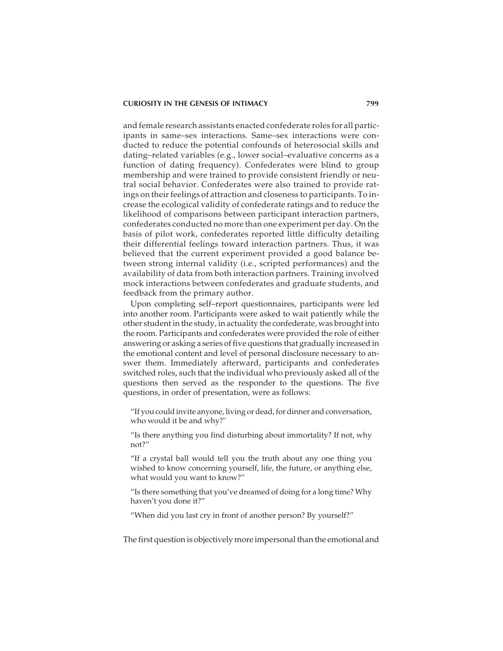and female research assistants enacted confederate roles for all participants in same–sex interactions. Same–sex interactions were conducted to reduce the potential confounds of heterosocial skills and dating–related variables (e.g., lower social–evaluative concerns as a function of dating frequency). Confederates were blind to group membership and were trained to provide consistent friendly or neutral social behavior. Confederates were also trained to provide ratings on their feelings of attraction and closeness to participants. To increase the ecological validity of confederate ratings and to reduce the likelihood of comparisons between participant interaction partners, confederates conducted no more than one experiment per day. On the basis of pilot work, confederates reported little difficulty detailing their differential feelings toward interaction partners. Thus, it was believed that the current experiment provided a good balance between strong internal validity (i.e., scripted performances) and the availability of data from both interaction partners. Training involved mock interactions between confederates and graduate students, and feedback from the primary author.

Upon completing self–report questionnaires, participants were led into another room. Participants were asked to wait patiently while the other student in the study, in actuality the confederate, was brought into the room. Participants and confederates were provided the role of either answering or asking a series of five questions that gradually increased in the emotional content and level of personal disclosure necessary to answer them. Immediately afterward, participants and confederates switched roles, such that the individual who previously asked all of the questions then served as the responder to the questions. The five questions, in order of presentation, were as follows:

"If you could invite anyone, living or dead, for dinner and conversation, who would it be and why?"

"Is there anything you find disturbing about immortality? If not, why not?"

"If a crystal ball would tell you the truth about any one thing you wished to know concerning yourself, life, the future, or anything else, what would you want to know?"

"Is there something that you've dreamed of doing for a long time? Why haven't you done it?"

"When did you last cry in front of another person? By yourself?"

The first question is objectively more impersonal than the emotional and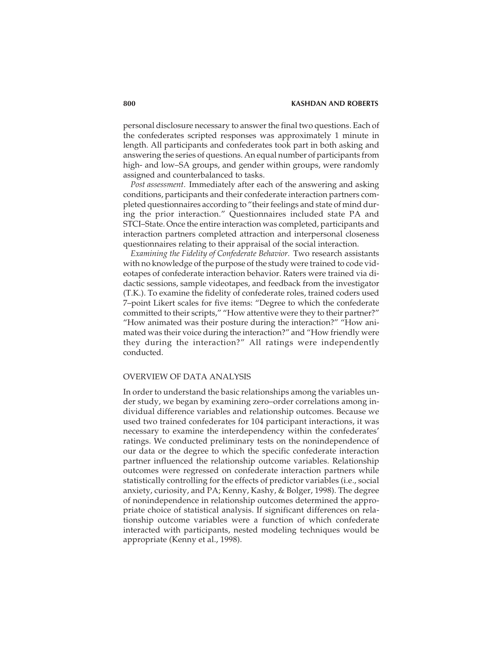personal disclosure necessary to answer the final two questions. Each of the confederates scripted responses was approximately 1 minute in length. All participants and confederates took part in both asking and answering the series of questions. An equal number of participants from high- and low–SA groups, and gender within groups, were randomly assigned and counterbalanced to tasks.

*Post assessment.* Immediately after each of the answering and asking conditions, participants and their confederate interaction partners completed questionnaires according to "their feelings and state of mind during the prior interaction." Questionnaires included state PA and STCI–State. Once the entire interaction was completed, participants and interaction partners completed attraction and interpersonal closeness questionnaires relating to their appraisal of the social interaction.

*Examining the Fidelity of Confederate Behavior.* Two research assistants with no knowledge of the purpose of the study were trained to code videotapes of confederate interaction behavior. Raters were trained via didactic sessions, sample videotapes, and feedback from the investigator (T.K.). To examine the fidelity of confederate roles, trained coders used 7–point Likert scales for five items: "Degree to which the confederate committed to their scripts," "How attentive were they to their partner?" "How animated was their posture during the interaction?" "How animated was their voice during the interaction?" and "How friendly were they during the interaction?" All ratings were independently conducted.

#### OVERVIEW OF DATA ANALYSIS

In order to understand the basic relationships among the variables under study, we began by examining zero–order correlations among individual difference variables and relationship outcomes. Because we used two trained confederates for 104 participant interactions, it was necessary to examine the interdependency within the confederates' ratings. We conducted preliminary tests on the nonindependence of our data or the degree to which the specific confederate interaction partner influenced the relationship outcome variables. Relationship outcomes were regressed on confederate interaction partners while statistically controlling for the effects of predictor variables (i.e., social anxiety, curiosity, and PA; Kenny, Kashy, & Bolger, 1998). The degree of nonindependence in relationship outcomes determined the appropriate choice of statistical analysis. If significant differences on relationship outcome variables were a function of which confederate interacted with participants, nested modeling techniques would be appropriate (Kenny et al., 1998).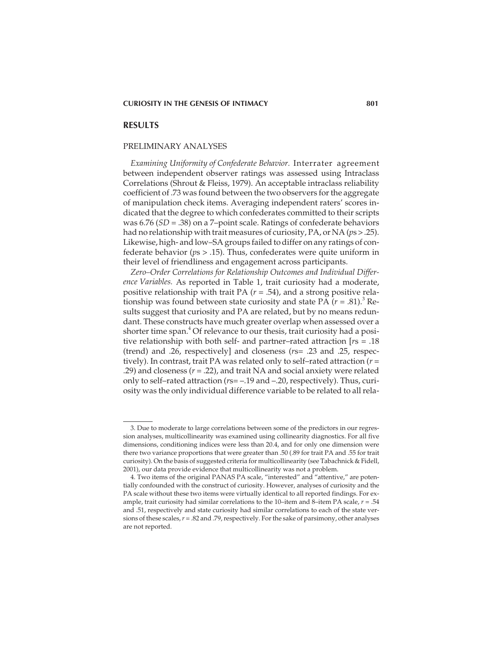#### **RESULTS**

#### PRELIMINARY ANALYSES

*Examining Uniformity of Confederate Behavior.* Interrater agreement between independent observer ratings was assessed using Intraclass Correlations (Shrout & Fleiss, 1979). An acceptable intraclass reliability coefficient of .73 was found between the two observers for the aggregate of manipulation check items. Averaging independent raters' scores indicated that the degree to which confederates committed to their scripts was 6.76 (*SD* = .38) on a 7–point scale. Ratings of confederate behaviors had no relationship with trait measures of curiosity, PA, or NA (*p*s > .25). Likewise, high- and low–SA groups failed to differ on any ratings of confederate behavior (*p*s > .15). Thus, confederates were quite uniform in their level of friendliness and engagement across participants.

*Zero–Order Correlations for Relationship Outcomes and Individual Difference Variables.* As reported in Table 1, trait curiosity had a moderate, positive relationship with trait PA (*r* = .54), and a strong positive relationship was found between state curiosity and state PA  $(r = .81)$ .<sup>3</sup> Results suggest that curiosity and PA are related, but by no means redundant. These constructs have much greater overlap when assessed over a shorter time span.<sup>4</sup> Of relevance to our thesis, trait curiosity had a positive relationship with both self- and partner–rated attraction [*r*s = .18 (trend) and .26, respectively] and closeness (*r*s= .23 and .25, respectively). In contrast, trait PA was related only to self–rated attraction (*r* = .29) and closeness (*r* = .22), and trait NA and social anxiety were related only to self–rated attraction (*r*s= –.19 and –.20, respectively). Thus, curiosity was the only individual difference variable to be related to all rela-

<sup>3.</sup> Due to moderate to large correlations between some of the predictors in our regression analyses, multicollinearity was examined using collinearity diagnostics. For all five dimensions, conditioning indices were less than 20.4, and for only one dimension were there two variance proportions that were greater than .50 (.89 for trait PA and .55 for trait curiosity). On the basis of suggested criteria for multicollinearity (see Tabachnick & Fidell, 2001), our data provide evidence that multicollinearity was not a problem.

<sup>4.</sup> Two items of the original PANAS PA scale, "interested" and "attentive," are potentially confounded with the construct of curiosity. However, analyses of curiosity and the PA scale without these two items were virtually identical to all reported findings. For example, trait curiosity had similar correlations to the 10–item and 8–item PA scale, *r* = .54 and .51, respectively and state curiosity had similar correlations to each of the state versions of these scales,*r* = .82 and .79, respectively. For the sake of parsimony, other analyses are not reported.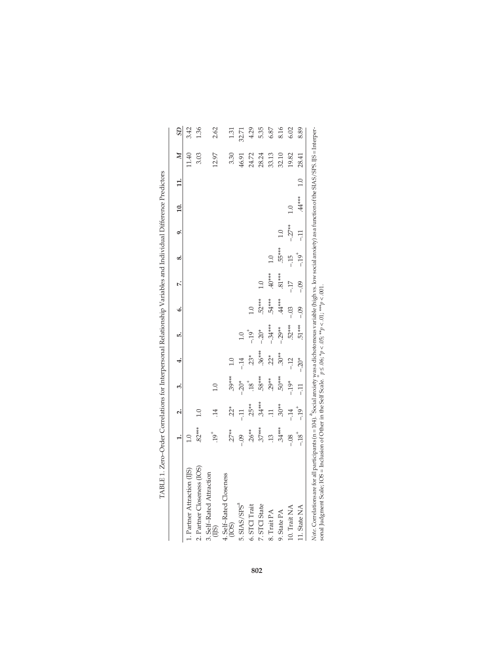|                                                                                                                                                                                   |                  |                  |                   |          |           | ł        |          |                |          |          |       |                       |                |
|-----------------------------------------------------------------------------------------------------------------------------------------------------------------------------------|------------------|------------------|-------------------|----------|-----------|----------|----------|----------------|----------|----------|-------|-----------------------|----------------|
|                                                                                                                                                                                   |                  | نہ               | ကံ                | 4        | <u>ıo</u> | خ.       | ŀ.       | œ              | o,       | $\Xi$    | $\Xi$ | $\boldsymbol{\Sigma}$ | $\overline{3}$ |
| 1. Partner Attraction (IJS)                                                                                                                                                       | $\overline{1.0}$ |                  |                   |          |           |          |          |                |          |          |       | 11.40                 | 3.42           |
| 2. Partner Closeness (IOS)                                                                                                                                                        | $.82***$         | 1.0              |                   |          |           |          |          |                |          |          |       | 3.03                  | 1.36           |
| 3. Self-Rated Attraction<br>$(1)$ S)                                                                                                                                              | $\ddot{61}$ .    | $\overline{14}$  | $\overline{0}$    |          |           |          |          |                |          |          |       | 12.97                 | 2.62           |
| 4. Self-Rated Closeness<br>(IOS)                                                                                                                                                  | $.27**$          | $22*$            | $.39***$          | 1.0      |           |          |          |                |          |          |       | 3.30                  | 1.31           |
| 5. SIAS/SPS <sup>a</sup>                                                                                                                                                          | $-0.09$          | $-11$            | $-20*$            | $-14$    | 1.0       |          |          |                |          |          |       | 46.91                 | 32.71          |
| 6. STCI Trait                                                                                                                                                                     | $.26**$          | $.25**$          | $\overline{18}$ . | $23*$    | $-19^{+}$ | 0.1      |          |                |          |          |       | 24.72                 | 4.29           |
| 7. STCI State                                                                                                                                                                     | $.37***$         | $.34***$         | 58***             | $.36***$ | $-20*$    | $.52***$ | 1.0      |                |          |          |       | 28.24                 | 5.35           |
| 8. Trait PA                                                                                                                                                                       | $\frac{13}{2}$   | $\overline{\Xi}$ | $.29**$           | $.22*$   | $-.34***$ | 54****   | $40***$  | $\overline{0}$ |          |          |       | 33.13                 | 6.87           |
| 9. State PA                                                                                                                                                                       | $.34***$         | $.30**$          | $-50***$          | $.30**$  | $-.29**$  | $44***$  | $.81***$ | $.55***$       | 1.0      |          |       | 32.10                 | 8.16           |
| 10. Trait NA                                                                                                                                                                      | $-0.8$           | $-14$            | $-19*$            | $-12$    | $.52***$  | $-03$    | $-17$    | $-15$          | $-.27**$ | 1.0      |       | 19.82                 | 6.02           |
| 11. State NA                                                                                                                                                                      | $-18^{+}$        | $-19^{+}$        | $-11$             | $-20*$   | $.51***$  | $-0.9$   | $-0.09$  | $-19^{+}$      | $-11$    | $.44***$ | 1.0   | 28.41                 | 8.89           |
| Note Complations are for all participants (n = 104). ${}^8$ Social anxiety was a dichotomous variable (high vs. low social anxiety) as a function of the SIAS/SPS IIS = Interper- |                  |                  |                   |          |           |          |          |                |          |          |       |                       |                |

| i<br>ł<br>֠<br>I<br>l<br>$\ddot{\dot{\delta}}$<br>i             |  |
|-----------------------------------------------------------------|--|
|                                                                 |  |
| l                                                               |  |
| $\overline{a}$                                                  |  |
| ׇ֚֓֡                                                            |  |
| ł<br>Ì<br>ļ<br>I<br>I<br>$\overline{\phantom{a}}$               |  |
| ï<br>I                                                          |  |
|                                                                 |  |
| I<br>i<br>I                                                     |  |
|                                                                 |  |
| I<br>I<br>ł                                                     |  |
| ֖֖֧ׅ֧ׅ֧ׅ֧֪ׅ֧֚֚֚֚֚֚֚֚֚֚֚֚֚֚֚֡֝֝֝֘֝֜֜֝֬֝֓֝<br>֧֚֚֝                |  |
| F<br>ׇ֚֚֕<br>֖֖֖֖֖֧֧֪֪ׅ֧֚֚֚֚֚֚֚֚֚֚֚֚֚֚֚֚֚֚֚֚֚֚֚֚֚֚֚֚֚֚֡֬֝֓֝֓֞֓֞ |  |

*Note.* Correlations are for all participants (n = 104). <sup>8</sup>social anxiety was a dichotomous variable (high vs. low social anxiety) as a function of the SIAS/SPS. IJS = Interper-Ļ  $\frac{1}{2}$  $\frac{c}{c}$  $\mathbf{B}(\mathbf{A})$ *Note*. Correlations are for all participants (n = 104). Social anxiety was a dichotomous variable (nigh vs. 1<br>sonal Judgment Scale; IOS = Inclusion of Other in the Self Scale.  $p \le 0.06$ ; \* $p < 0.5$ ; \* $p < 0.1$ ; \*\* $p < 0.01$ sonal Judgment Scale; IOS = Inclusion of Other in the Self Scale.  $p \le 0.06$ ;  $*p < 0.05$ ;  $**p < 0.01$ ;  $***p < 0.001$ .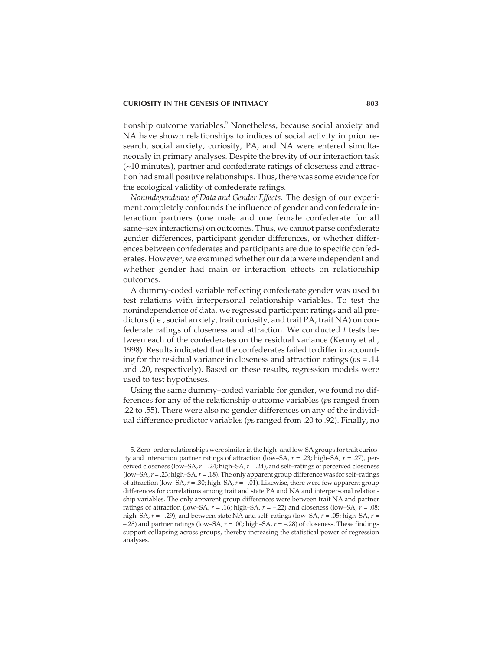tionship outcome variables.<sup>5</sup> Nonetheless, because social anxiety and NA have shown relationships to indices of social activity in prior research, social anxiety, curiosity, PA, and NA were entered simultaneously in primary analyses. Despite the brevity of our interaction task (~10 minutes), partner and confederate ratings of closeness and attraction had small positive relationships. Thus, there was some evidence for the ecological validity of confederate ratings.

*Nonindependence of Data and Gender Effects.* The design of our experiment completely confounds the influence of gender and confederate interaction partners (one male and one female confederate for all same–sex interactions) on outcomes. Thus, we cannot parse confederate gender differences, participant gender differences, or whether differences between confederates and participants are due to specific confederates. However, we examined whether our data were independent and whether gender had main or interaction effects on relationship outcomes.

A dummy-coded variable reflecting confederate gender was used to test relations with interpersonal relationship variables. To test the nonindependence of data, we regressed participant ratings and all predictors (i.e., social anxiety, trait curiosity, and trait PA, trait NA) on confederate ratings of closeness and attraction. We conducted *t* tests between each of the confederates on the residual variance (Kenny et al., 1998). Results indicated that the confederates failed to differ in accounting for the residual variance in closeness and attraction ratings (*p*s = .14 and .20, respectively). Based on these results, regression models were used to test hypotheses.

Using the same dummy–coded variable for gender, we found no differences for any of the relationship outcome variables (*p*s ranged from .22 to .55). There were also no gender differences on any of the individual difference predictor variables (*p*s ranged from .20 to .92). Finally, no

<sup>5.</sup> Zero–order relationships were similar in the high- and low-SA groups for trait curiosity and interaction partner ratings of attraction (low–SA, *r* = .23; high–SA, *r* = .27), perceived closeness (low–SA,*r* = .24; high–SA,*r* = .24), and self–ratings of perceived closeness (low–SA,*r* = .23; high–SA,*r* = .18). The only apparent group difference was for self–ratings of attraction (low–SA,*r* = .30; high–SA,*r* = –.01). Likewise, there were few apparent group differences for correlations among trait and state PA and NA and interpersonal relationship variables. The only apparent group differences were between trait NA and partner ratings of attraction (low–SA,  $r = .16$ ; high–SA,  $r = -.22$ ) and closeness (low–SA,  $r = .08$ ; high–SA, *r* = –.29), and between state NA and self–ratings (low–SA, *r* = .05; high–SA, *r* = –.28) and partner ratings (low–SA, *r* = .00; high–SA, *r* = –.28) of closeness. These findings support collapsing across groups, thereby increasing the statistical power of regression analyses.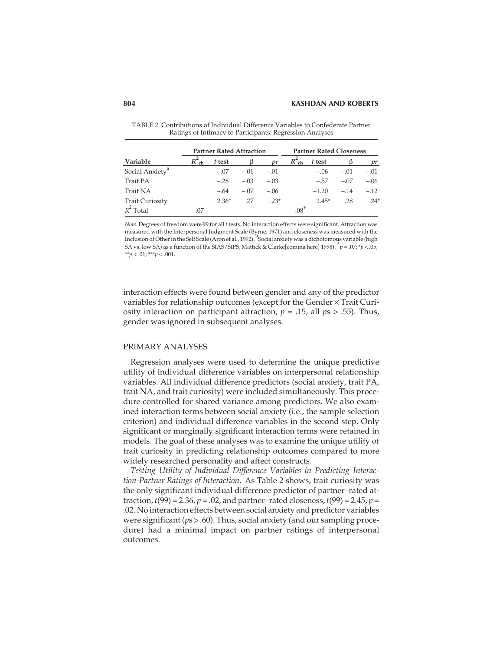|                             |     | <b>Partner Rated Attraction</b> |        |        |          | <b>Partner Rated Closeness</b> |        |        |
|-----------------------------|-----|---------------------------------|--------|--------|----------|--------------------------------|--------|--------|
| Variable                    |     | t test                          |        | m      | $R_{ch}$ | t test                         |        | nr     |
| Social Anxiety <sup>a</sup> |     | $-.07$                          | $-.01$ | $-.01$ |          | $-.06$                         | $-.01$ | $-.01$ |
| Trait PA                    |     | $-.28$                          | $-.03$ | $-.03$ |          | $-.57$                         | $-.07$ | $-.06$ |
| Trait NA                    |     | $-.64$                          | $-.07$ | $-.06$ |          | $-1.20$                        | $-.14$ | $-.12$ |
| <b>Trait Curiosity</b>      |     | $2.36*$                         | .27    | $.23*$ |          | $2.45*$                        | .28    | $.24*$ |
| $R^2$ Total                 | .07 |                                 |        |        | $08^+$   |                                |        |        |

TABLE 2. Contributions of Individual Difference Variables to Confederate Partner Ratings of Intimacy to Participants: Regression Analyses

*Note*. Degrees of freedom were 99 for all *t* tests. No interaction effects were significant. Attraction was measured with the Interpersonal Judgment Scale (Byrne, 1971) and closeness was measured with the Inclusion of Other in the Self Scale (Aron et al., 1992). <sup>a</sup>Social anxiety was a dichotomous variable (high Inclusion of Other in the Self Scale (Aron et al., 1992). SA vs. low SA) as a function of the SIAS/SIPS; Mattick & Clarke[comma here] 1998). <sup>+</sup> *p* = .07; \**p* < .05; \*\**p* < .01; \*\*\**p* < .001.

interaction effects were found between gender and any of the predictor variables for relationship outcomes (except for the Gender × Trait Curiosity interaction on participant attraction; *p* = .15, all *p*s > .55). Thus, gender was ignored in subsequent analyses.

#### PRIMARY ANALYSES

Regression analyses were used to determine the unique predictive utility of individual difference variables on interpersonal relationship variables. All individual difference predictors (social anxiety, trait PA, trait NA, and trait curiosity) were included simultaneously. This procedure controlled for shared variance among predictors. We also examined interaction terms between social anxiety (i.e., the sample selection criterion) and individual difference variables in the second step. Only significant or marginally significant interaction terms were retained in models. The goal of these analyses was to examine the unique utility of trait curiosity in predicting relationship outcomes compared to more widely researched personality and affect constructs.

*Testing Utility of Individual Difference Variables in Predicting Interaction-Partner Ratings of Interaction.* As Table 2 shows, trait curiosity was the only significant individual difference predictor of partner–rated attraction,  $t(99) = 2.36$ ,  $p = .02$ , and partner–rated closeness,  $t(99) = 2.45$ ,  $p =$ .02. No interaction effects between social anxiety and predictor variables were significant (*p*s > .60). Thus, social anxiety (and our sampling procedure) had a minimal impact on partner ratings of interpersonal outcomes.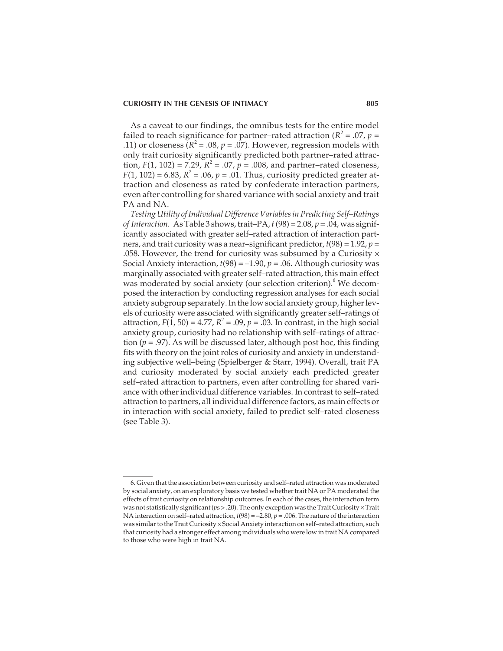As a caveat to our findings, the omnibus tests for the entire model failed to reach significance for partner–rated attraction ( $R^2 = .07$ ,  $p =$ .11) or closeness ( $R^2$  = .08,  $p$  = .07). However, regression models with only trait curiosity significantly predicted both partner–rated attraction,  $F(1, 102) = 7.29$ ,  $R^2 = .07$ ,  $p = .008$ , and partner–rated closeness,  $F(1, 102) = 6.83$ ,  $R^2 = .06$ ,  $p = .01$ . Thus, curiosity predicted greater attraction and closeness as rated by confederate interaction partners, even after controlling for shared variance with social anxiety and trait PA and NA.

*Testing Utility of Individual Difference Variables in Predicting Self–Ratings of Interaction.* As Table 3 shows, trait–PA,*t*(98) = 2.08, *p* = .04, was significantly associated with greater self–rated attraction of interaction partners, and trait curiosity was a near–significant predictor, *t*(98) = 1.92, *p* = .058. However, the trend for curiosity was subsumed by a Curiosity  $\times$ Social Anxiety interaction,  $t(98) = -1.90$ ,  $p = .06$ . Although curiosity was marginally associated with greater self–rated attraction, this main effect was moderated by social anxiety (our selection criterion).<sup>6</sup> We decomposed the interaction by conducting regression analyses for each social anxiety subgroup separately. In the low social anxiety group, higher levels of curiosity were associated with significantly greater self–ratings of attraction,  $F(1, 50) = 4.77$ ,  $R^2 = .09$ ,  $p = .03$ . In contrast, in the high social anxiety group, curiosity had no relationship with self–ratings of attraction ( $p = .97$ ). As will be discussed later, although post hoc, this finding fits with theory on the joint roles of curiosity and anxiety in understanding subjective well–being (Spielberger & Starr, 1994). Overall, trait PA and curiosity moderated by social anxiety each predicted greater self–rated attraction to partners, even after controlling for shared variance with other individual difference variables. In contrast to self–rated attraction to partners, all individual difference factors, as main effects or in interaction with social anxiety, failed to predict self–rated closeness (see Table 3).

<sup>6.</sup> Given that the association between curiosity and self–rated attraction was moderated by social anxiety, on an exploratory basis we tested whether trait NA or PA moderated the effects of trait curiosity on relationship outcomes. In each of the cases, the interaction term was not statistically significant ( $ps > 0.20$ ). The only exception was the Trait Curiosity  $\times$  Trait NA interaction on self–rated attraction,  $t(98) = -2.80$ ,  $p = .006$ . The nature of the interaction was similar to the Trait Curiosity × Social Anxiety interaction on self–rated attraction, such that curiosity had a stronger effect among individuals who were low in trait NA compared to those who were high in trait NA.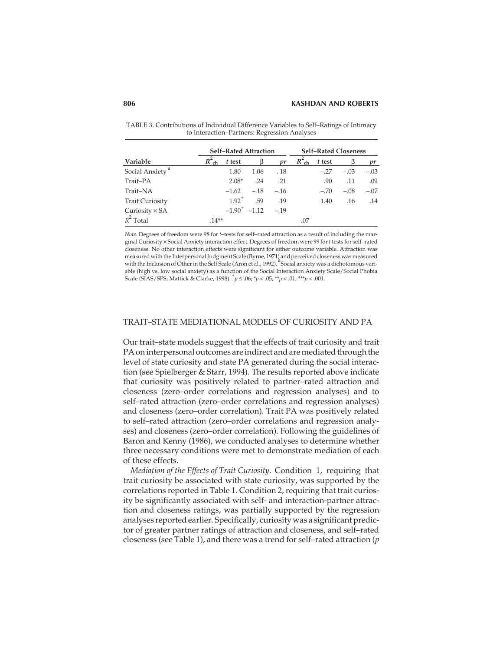|                             |          | <b>Self-Rated Attraction</b> |                   |        |                |        | <b>Self-Rated Closeness</b> |        |
|-----------------------------|----------|------------------------------|-------------------|--------|----------------|--------|-----------------------------|--------|
| Variable                    | $R_{ch}$ | t test                       |                   | vr     | $R^2_{\rm ch}$ | t test |                             |        |
| Social Anxiety <sup>a</sup> |          | 1.80                         | 1.06              | . 18   |                | $-.27$ | $-.03$                      | $-.03$ |
| Trait-PA                    |          | $2.08*$                      | .24               | .21    |                | .90    | .11                         | .09    |
| Trait-NA                    |          | $-1.62$                      | $-.18$            | $-.16$ |                | $-.70$ | $-.08$                      | $-.07$ |
| <b>Trait Curiosity</b>      |          | $1.92^{+}$                   | .59               | .19    |                | 1.40   | .16                         | .14    |
| Curiosity $\times$ SA       |          |                              | $-1.90^+$ $-1.12$ | $-.19$ |                |        |                             |        |
| $R^2$ Total                 | $.14**$  |                              |                   |        | .07            |        |                             |        |

TABLE 3. Contributions of Individual Difference Variables to Self–Ratings of Intimacy to Interaction–Partners: Regression Analyses

*Note*. Degrees of freedom were 98 for *t*–tests for self–rated attraction as a result of including the marginal Curiosity × Social Anxiety interaction effect. Degrees of freedom were 99 for*t* tests for self–rated closeness. No other interaction effects were significant for either outcome variable. Attraction was measured with the Interpersonal Judgment Scale (Byrne, 1971) and perceived closeness was measured with the Inclusion of Other in the Self Scale (Aron et al., 1992). <sup>a</sup>Social anxiety was a dichotomous variable (high vs. low social anxiety) as a function of the Social Interaction Anxiety Scale/Social Phobia Scale (SIAS/SPS; Mattick & Clarke, 1998).  $\bar{p} \le 0.06$ ;  $\bar{p} \le 0.05$ ;  $\bar{p} \le 0.01$ ;  $\bar{p} \ne 0.01$ ;  $\bar{p} \ne 0.01$ ;

## TRAIT–STATE MEDIATIONAL MODELS OF CURIOSITY AND PA

Our trait–state models suggest that the effects of trait curiosity and trait PA on interpersonal outcomes are indirect and are mediated through the level of state curiosity and state PA generated during the social interaction (see Spielberger & Starr, 1994). The results reported above indicate that curiosity was positively related to partner–rated attraction and closeness (zero–order correlations and regression analyses) and to self–rated attraction (zero–order correlations and regression analyses) and closeness (zero–order correlation). Trait PA was positively related to self–rated attraction (zero–order correlations and regression analyses) and closeness (zero–order correlation). Following the guidelines of Baron and Kenny (1986), we conducted analyses to determine whether three necessary conditions were met to demonstrate mediation of each of these effects.

*Mediation of the Effects of Trait Curiosity.* Condition 1, requiring that trait curiosity be associated with state curiosity, was supported by the correlations reported in Table 1. Condition 2, requiring that trait curiosity be significantly associated with self- and interaction-partner attraction and closeness ratings, was partially supported by the regression analyses reported earlier. Specifically, curiosity was a significant predictor of greater partner ratings of attraction and closeness, and self–rated closeness (see Table 1), and there was a trend for self–rated attraction (*p*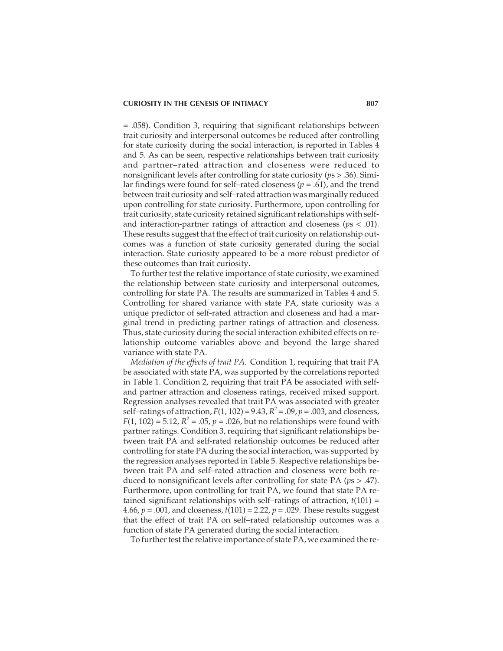= .058). Condition 3, requiring that significant relationships between trait curiosity and interpersonal outcomes be reduced after controlling for state curiosity during the social interaction, is reported in Tables 4 and 5. As can be seen, respective relationships between trait curiosity and partner–rated attraction and closeness were reduced to nonsignificant levels after controlling for state curiosity (*p*s > .36). Similar findings were found for self–rated closeness (*p* = .61), and the trend between trait curiosity and self–rated attraction was marginally reduced upon controlling for state curiosity. Furthermore, upon controlling for trait curiosity, state curiosity retained significant relationships with selfand interaction-partner ratings of attraction and closeness (*p*s < .01). These results suggest that the effect of trait curiosity on relationship outcomes was a function of state curiosity generated during the social interaction. State curiosity appeared to be a more robust predictor of these outcomes than trait curiosity.

To further test the relative importance of state curiosity, we examined the relationship between state curiosity and interpersonal outcomes, controlling for state PA. The results are summarized in Tables 4 and 5. Controlling for shared variance with state PA, state curiosity was a unique predictor of self-rated attraction and closeness and had a marginal trend in predicting partner ratings of attraction and closeness. Thus, state curiosity during the social interaction exhibited effects on relationship outcome variables above and beyond the large shared variance with state PA.

*Mediation of the effects of trait PA.* Condition 1, requiring that trait PA be associated with state PA, was supported by the correlations reported in Table 1. Condition 2, requiring that trait PA be associated with selfand partner attraction and closeness ratings, received mixed support. Regression analyses revealed that trait PA was associated with greater self–ratings of attraction,  $F(1, 102) = 9.43$ ,  $R^2 = .09$ ,  $p = .003$ , and closeness,  $F(1, 102) = 5.12$ ,  $R^2 = .05$ ,  $p = .026$ , but no relationships were found with partner ratings. Condition 3, requiring that significant relationships between trait PA and self-rated relationship outcomes be reduced after controlling for state PA during the social interaction, was supported by the regression analyses reported in Table 5. Respective relationships between trait PA and self–rated attraction and closeness were both reduced to nonsignificant levels after controlling for state PA (*p*s > .47). Furthermore, upon controlling for trait PA, we found that state PA retained significant relationships with self–ratings of attraction, *t*(101) = 4.66, *p* = .001, and closeness, *t*(101) = 2.22, *p* = .029. These results suggest that the effect of trait PA on self–rated relationship outcomes was a function of state PA generated during the social interaction.

To further test the relative importance of state PA, we examined the re-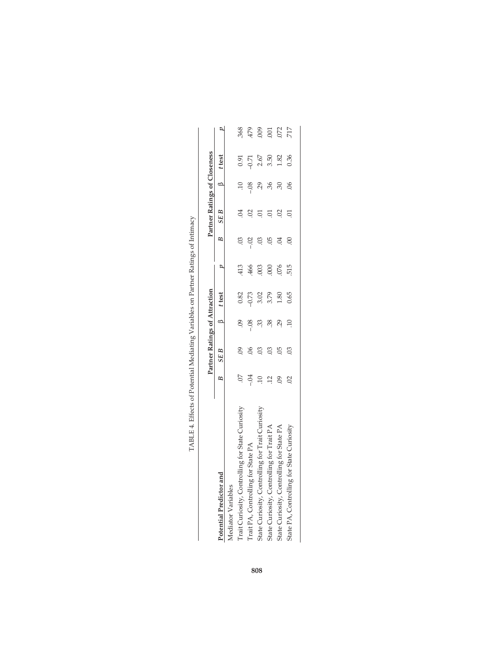|                                                  |                | Partner Ratings of Attraction |     |                |      |                     | Partner Ratings of Closeness |               |            |                  |
|--------------------------------------------------|----------------|-------------------------------|-----|----------------|------|---------------------|------------------------------|---------------|------------|------------------|
| Potential Predictor and                          | $\approx$      | $SEB$ $\beta$ test            |     |                |      | $\overline{B}$      | SE B                         |               | $13$ ttest |                  |
| Aediator Variables                               |                |                               |     |                |      |                     |                              |               |            |                  |
| Trait Curiosity, Controlling for State Curiosity |                | $\overline{0}$                |     | 0.82           |      |                     |                              | $\approx$     | 0.91       | 368              |
| Trait PA, Controlling for State PA               | $-0.4$         |                               |     | 0.73           | 466  | $-02$               |                              | $-0.8$        | $-0.71$    | 479              |
| State Curiosity, Controlling for Trait Curiosity |                | $\overline{0}$                | 33  | 3.02           | 003  |                     |                              | 29            | 2.67       | 009              |
| State Curiosity, Controlling for Trait PA        |                | SÖ                            | 38. | 3.79           | 000  |                     |                              | 36            | 3.50       | $\overline{001}$ |
| State Curiosity, Controlling for State PA        | $\overline{6}$ | 05                            |     | $\frac{80}{2}$ | .076 | $\ddot{\mathrm{S}}$ |                              | 30            | 1.82       | 072              |
| State PA, Controlling for State Curiosity        |                | $\frac{3}{2}$                 |     | 0.65           |      |                     |                              | $\frac{8}{2}$ | 0.36       | 717              |
|                                                  |                |                               |     |                |      |                     |                              |               |            |                  |

| I                                                |
|--------------------------------------------------|
|                                                  |
|                                                  |
| j                                                |
|                                                  |
|                                                  |
| I<br>ׇ֚                                          |
|                                                  |
|                                                  |
|                                                  |
|                                                  |
| $\overline{\phantom{a}}$<br>۱                    |
| $\ddot{\ddot{\ }}$                               |
|                                                  |
| j                                                |
| l<br>۱                                           |
|                                                  |
|                                                  |
|                                                  |
|                                                  |
|                                                  |
|                                                  |
| J                                                |
|                                                  |
|                                                  |
|                                                  |
|                                                  |
|                                                  |
|                                                  |
|                                                  |
|                                                  |
|                                                  |
|                                                  |
|                                                  |
| I                                                |
|                                                  |
|                                                  |
|                                                  |
|                                                  |
| ֧֧֧֧֧֚֚֚֚֚֚֚֚֚֚֚֚֚֚֚֚֚֚֚֚֚֚֚֚֚֚֚֚֚֓֡֟֓֡֬֓֓֓֓֓֓֓֓ |
| l                                                |
| j                                                |
|                                                  |
|                                                  |
| <br> <br> <br>                                   |
| ı<br>I<br>l                                      |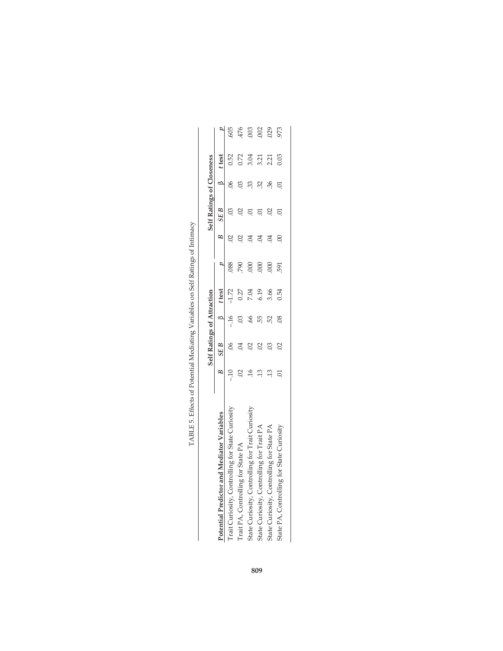|                                                          |                | Self Ratings of Attraction |                          |         |                  |          | Self Ratings of Closeness |     |        |            |
|----------------------------------------------------------|----------------|----------------------------|--------------------------|---------|------------------|----------|---------------------------|-----|--------|------------|
| Potential Predictor and Mediator Variables               | B              | SE B                       |                          | t test  |                  | B        | SE B                      |     | t test |            |
| Curiosity, Controlling for State Curiosity<br>$T$ rait ( |                |                            |                          | $-1.72$ | 388              |          |                           |     | 0.52   |            |
| Trait PA, Controlling for State PA                       |                |                            |                          | 0.27    | 790              |          |                           |     | 0.72   | 605<br>476 |
| State Curiosity, Controlling for Trait (                 |                |                            |                          | 7.04    | $\overline{000}$ |          |                           | ಜ್ಜ | 3.04   | $.003$     |
| State Curiosity, Controlling for Trait PA                |                | $\overline{0}$             | 55                       | 6.19    | $\overline{000}$ |          |                           | SS. | 3.21   | 002        |
| State Curiosity, Controlling for State P.                |                | $\overline{0}$             | B.                       | 3.66    | 000              |          |                           | 36. | 2.21   | 029        |
| State PA, Controlling for State C                        | $\overline{0}$ | $\Omega$                   | $\overline{\mathcal{S}}$ | 0.54    | 591              | $\rm{C}$ |                           |     | 0.03   | 973        |
|                                                          |                |                            |                          |         |                  |          |                           |     |        |            |

| J<br>I                           |
|----------------------------------|
| I                                |
| ļ<br>۱<br>I                      |
| I<br>I<br>۱<br>I                 |
| J                                |
|                                  |
|                                  |
|                                  |
| l                                |
| l<br>$\ddot{\phantom{0}}$<br>l   |
|                                  |
| - 1<br>- 1<br>- 1<br>ı<br>I<br>l |
|                                  |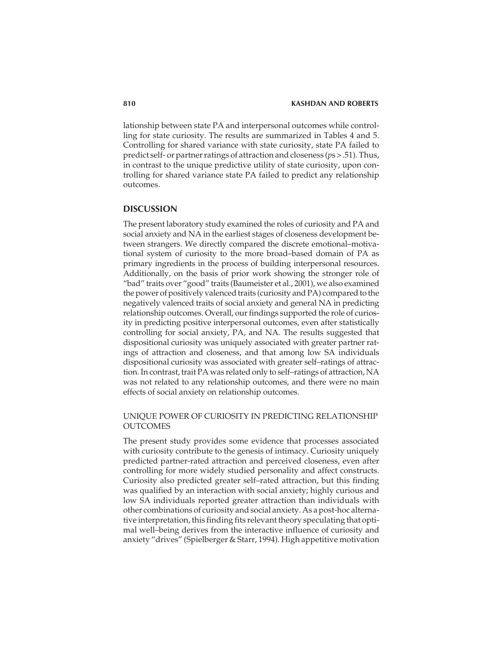lationship between state PA and interpersonal outcomes while controlling for state curiosity. The results are summarized in Tables 4 and 5. Controlling for shared variance with state curiosity, state PA failed to predict self- or partner ratings of attraction and closeness (*p*s > .51). Thus, in contrast to the unique predictive utility of state curiosity, upon controlling for shared variance state PA failed to predict any relationship outcomes.

## **DISCUSSION**

The present laboratory study examined the roles of curiosity and PA and social anxiety and NA in the earliest stages of closeness development between strangers. We directly compared the discrete emotional–motivational system of curiosity to the more broad–based domain of PA as primary ingredients in the process of building interpersonal resources. Additionally, on the basis of prior work showing the stronger role of "bad" traits over "good" traits (Baumeister et al., 2001), we also examined the power of positively valenced traits (curiosity and PA) compared to the negatively valenced traits of social anxiety and general NA in predicting relationship outcomes. Overall, our findings supported the role of curiosity in predicting positive interpersonal outcomes, even after statistically controlling for social anxiety, PA, and NA. The results suggested that dispositional curiosity was uniquely associated with greater partner ratings of attraction and closeness, and that among low SA individuals dispositional curiosity was associated with greater self–ratings of attraction. In contrast, trait PA was related only to self–ratings of attraction, NA was not related to any relationship outcomes, and there were no main effects of social anxiety on relationship outcomes.

## UNIQUE POWER OF CURIOSITY IN PREDICTING RELATIONSHIP **OUTCOMES**

The present study provides some evidence that processes associated with curiosity contribute to the genesis of intimacy. Curiosity uniquely predicted partner-rated attraction and perceived closeness, even after controlling for more widely studied personality and affect constructs. Curiosity also predicted greater self–rated attraction, but this finding was qualified by an interaction with social anxiety; highly curious and low SA individuals reported greater attraction than individuals with other combinations of curiosity and social anxiety. As a post-hoc alternative interpretation, this finding fits relevant theory speculating that optimal well–being derives from the interactive influence of curiosity and anxiety "drives" (Spielberger & Starr, 1994). High appetitive motivation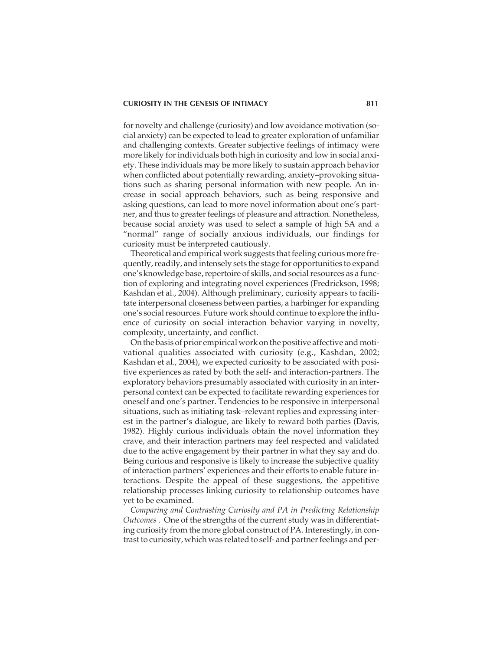for novelty and challenge (curiosity) and low avoidance motivation (social anxiety) can be expected to lead to greater exploration of unfamiliar and challenging contexts. Greater subjective feelings of intimacy were more likely for individuals both high in curiosity and low in social anxiety. These individuals may be more likely to sustain approach behavior when conflicted about potentially rewarding, anxiety–provoking situations such as sharing personal information with new people. An increase in social approach behaviors, such as being responsive and asking questions, can lead to more novel information about one's partner, and thus to greater feelings of pleasure and attraction. Nonetheless, because social anxiety was used to select a sample of high SA and a "normal" range of socially anxious individuals, our findings for curiosity must be interpreted cautiously.

Theoretical and empirical work suggests that feeling curious more frequently, readily, and intensely sets the stage for opportunities to expand one's knowledge base, repertoire of skills, and social resources as a function of exploring and integrating novel experiences (Fredrickson, 1998; Kashdan et al., 2004). Although preliminary, curiosity appears to facilitate interpersonal closeness between parties, a harbinger for expanding one's social resources. Future work should continue to explore the influence of curiosity on social interaction behavior varying in novelty, complexity, uncertainty, and conflict.

On the basis of prior empirical work on the positive affective and motivational qualities associated with curiosity (e.g., Kashdan, 2002; Kashdan et al., 2004), we expected curiosity to be associated with positive experiences as rated by both the self- and interaction-partners. The exploratory behaviors presumably associated with curiosity in an interpersonal context can be expected to facilitate rewarding experiences for oneself and one's partner. Tendencies to be responsive in interpersonal situations, such as initiating task–relevant replies and expressing interest in the partner's dialogue, are likely to reward both parties (Davis, 1982). Highly curious individuals obtain the novel information they crave, and their interaction partners may feel respected and validated due to the active engagement by their partner in what they say and do. Being curious and responsive is likely to increase the subjective quality of interaction partners' experiences and their efforts to enable future interactions. Despite the appeal of these suggestions, the appetitive relationship processes linking curiosity to relationship outcomes have yet to be examined.

*Comparing and Contrasting Curiosity and PA in Predicting Relationship Outcomes .* One of the strengths of the current study was in differentiating curiosity from the more global construct of PA. Interestingly, in contrast to curiosity, which was related to self- and partner feelings and per-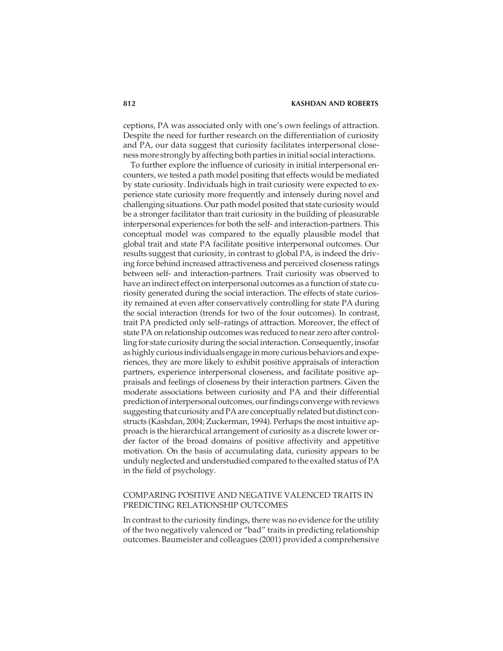#### **812 KASHDAN AND ROBERTS**

ceptions, PA was associated only with one's own feelings of attraction. Despite the need for further research on the differentiation of curiosity and PA, our data suggest that curiosity facilitates interpersonal closeness more strongly by affecting both parties in initial social interactions.

To further explore the influence of curiosity in initial interpersonal encounters, we tested a path model positing that effects would be mediated by state curiosity. Individuals high in trait curiosity were expected to experience state curiosity more frequently and intensely during novel and challenging situations. Our path model posited that state curiosity would be a stronger facilitator than trait curiosity in the building of pleasurable interpersonal experiences for both the self- and interaction-partners. This conceptual model was compared to the equally plausible model that global trait and state PA facilitate positive interpersonal outcomes. Our results suggest that curiosity, in contrast to global PA, is indeed the driving force behind increased attractiveness and perceived closeness ratings between self- and interaction-partners. Trait curiosity was observed to have an indirect effect on interpersonal outcomes as a function of state curiosity generated during the social interaction. The effects of state curiosity remained at even after conservatively controlling for state PA during the social interaction (trends for two of the four outcomes). In contrast, trait PA predicted only self–ratings of attraction. Moreover, the effect of state PA on relationship outcomes was reduced to near zero after controlling for state curiosity during the social interaction. Consequently, insofar as highly curious individuals engage in more curious behaviors and experiences, they are more likely to exhibit positive appraisals of interaction partners, experience interpersonal closeness, and facilitate positive appraisals and feelings of closeness by their interaction partners. Given the moderate associations between curiosity and PA and their differential prediction of interpersonal outcomes, our findings converge with reviews suggesting that curiosity and PA are conceptually related but distinct constructs (Kashdan, 2004; Zuckerman, 1994). Perhaps the most intuitive approach is the hierarchical arrangement of curiosity as a discrete lower order factor of the broad domains of positive affectivity and appetitive motivation. On the basis of accumulating data, curiosity appears to be unduly neglected and understudied compared to the exalted status of PA in the field of psychology.

## COMPARING POSITIVE AND NEGATIVE VALENCED TRAITS IN PREDICTING RELATIONSHIP OUTCOMES

In contrast to the curiosity findings, there was no evidence for the utility of the two negatively valenced or "bad" traits in predicting relationship outcomes. Baumeister and colleagues (2001) provided a comprehensive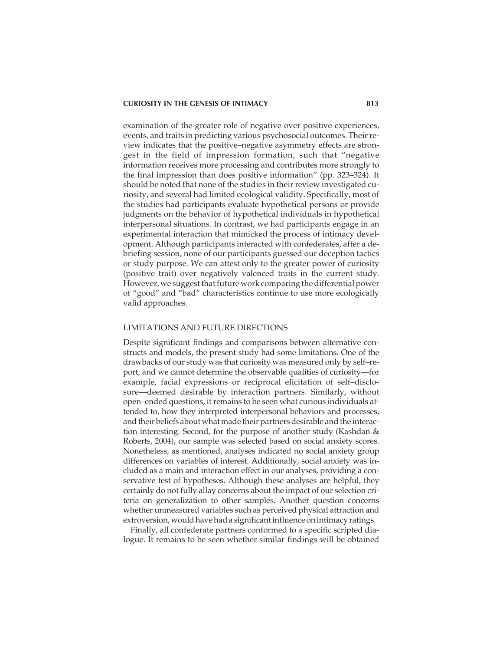examination of the greater role of negative over positive experiences, events, and traits in predicting various psychosocial outcomes. Their review indicates that the positive–negative asymmetry effects are strongest in the field of impression formation, such that "negative information receives more processing and contributes more strongly to the final impression than does positive information" (pp. 323–324). It should be noted that none of the studies in their review investigated curiosity, and several had limited ecological validity. Specifically, most of the studies had participants evaluate hypothetical persons or provide judgments on the behavior of hypothetical individuals in hypothetical interpersonal situations. In contrast, we had participants engage in an experimental interaction that mimicked the process of intimacy development. Although participants interacted with confederates, after a debriefing session, none of our participants guessed our deception tactics or study purpose. We can attest only to the greater power of curiosity (positive trait) over negatively valenced traits in the current study. However, we suggest that future work comparing the differential power of "good" and "bad" characteristics continue to use more ecologically valid approaches.

#### LIMITATIONS AND FUTURE DIRECTIONS

Despite significant findings and comparisons between alternative constructs and models, the present study had some limitations. One of the drawbacks of our study was that curiosity was measured only by self–report, and we cannot determine the observable qualities of curiosity—for example, facial expressions or reciprocal elicitation of self–disclosure—deemed desirable by interaction partners. Similarly, without open–ended questions, it remains to be seen what curious individuals attended to, how they interpreted interpersonal behaviors and processes, and their beliefs about what made their partners desirable and the interaction interesting. Second, for the purpose of another study (Kashdan & Roberts, 2004), our sample was selected based on social anxiety scores. Nonetheless, as mentioned, analyses indicated no social anxiety group differences on variables of interest. Additionally, social anxiety was included as a main and interaction effect in our analyses, providing a conservative test of hypotheses. Although these analyses are helpful, they certainly do not fully allay concerns about the impact of our selection criteria on generalization to other samples. Another question concerns whether unmeasured variables such as perceived physical attraction and extroversion, would have had a significant influence on intimacy ratings.

Finally, all confederate partners conformed to a specific scripted dialogue. It remains to be seen whether similar findings will be obtained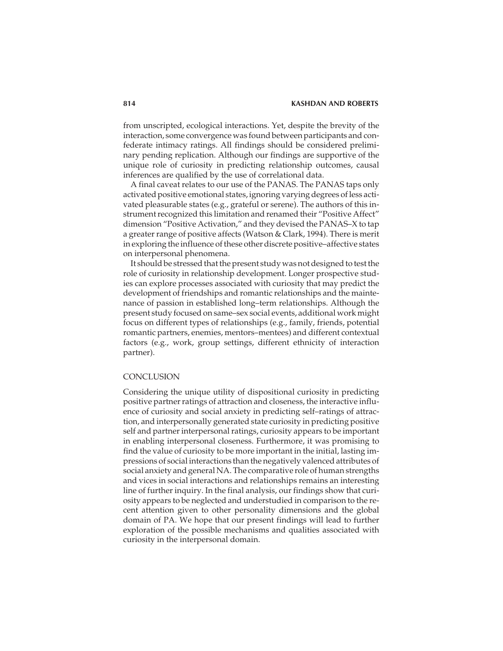from unscripted, ecological interactions. Yet, despite the brevity of the interaction, some convergence was found between participants and confederate intimacy ratings. All findings should be considered preliminary pending replication. Although our findings are supportive of the unique role of curiosity in predicting relationship outcomes, causal inferences are qualified by the use of correlational data.

A final caveat relates to our use of the PANAS. The PANAS taps only activated positive emotional states, ignoring varying degrees of less activated pleasurable states (e.g., grateful or serene). The authors of this instrument recognized this limitation and renamed their "Positive Affect" dimension "Positive Activation," and they devised the PANAS–X to tap a greater range of positive affects (Watson & Clark, 1994). There is merit in exploring the influence of these other discrete positive–affective states on interpersonal phenomena.

It should be stressed that the present study was not designed to test the role of curiosity in relationship development. Longer prospective studies can explore processes associated with curiosity that may predict the development of friendships and romantic relationships and the maintenance of passion in established long–term relationships. Although the present study focused on same–sex social events, additional work might focus on different types of relationships (e.g., family, friends, potential romantic partners, enemies, mentors–mentees) and different contextual factors (e.g., work, group settings, different ethnicity of interaction partner).

#### **CONCLUSION**

Considering the unique utility of dispositional curiosity in predicting positive partner ratings of attraction and closeness, the interactive influence of curiosity and social anxiety in predicting self–ratings of attraction, and interpersonally generated state curiosity in predicting positive self and partner interpersonal ratings, curiosity appears to be important in enabling interpersonal closeness. Furthermore, it was promising to find the value of curiosity to be more important in the initial, lasting impressions of social interactions than the negatively valenced attributes of social anxiety and general NA. The comparative role of human strengths and vices in social interactions and relationships remains an interesting line of further inquiry. In the final analysis, our findings show that curiosity appears to be neglected and understudied in comparison to the recent attention given to other personality dimensions and the global domain of PA. We hope that our present findings will lead to further exploration of the possible mechanisms and qualities associated with curiosity in the interpersonal domain.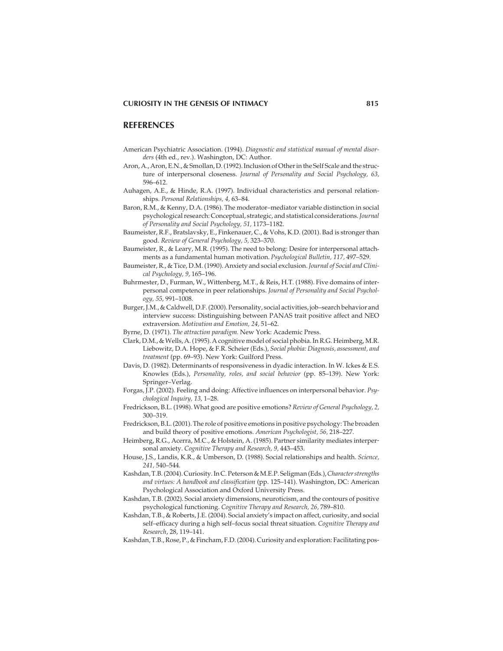#### **REFERENCES**

- American Psychiatric Association. (1994). *Diagnostic and statistical manual of mental disorders* (4th ed., rev.). Washington, DC: Author.
- Aron, A., Aron, E.N., & Smollan, D. (1992). Inclusion of Other in the Self Scale and the structure of interpersonal closeness. *Journal of Personality and Social Psychology, 63,* 596–612.
- Auhagen, A.E., & Hinde, R.A. (1997). Individual characteristics and personal relationships. *Personal Relationships, 4,* 63–84.
- Baron, R.M., & Kenny, D.A. (1986). The moderator–mediator variable distinction in social psychological research: Conceptual, strategic, and statistical considerations.*Journal of Personality and Social Psychology, 51,* 1173–1182.
- Baumeister, R.F., Bratslavsky, E., Finkenauer, C., & Vohs, K.D. (2001). Bad is stronger than good. *Review of General Psychology, 5,* 323–370.
- Baumeister, R., & Leary, M.R. (1995). The need to belong: Desire for interpersonal attachments as a fundamental human motivation. *Psychological Bulletin, 117,* 497–529.
- Baumeister, R., & Tice, D.M. (1990). Anxiety and social exclusion. *Journal of Social and Clinical Psychology, 9,* 165–196.
- Buhrmester, D., Furman, W., Wittenberg, M.T., & Reis, H.T. (1988). Five domains of interpersonal competence in peer relationships. *Journal of Personality and Social Psychology, 55,* 991–1008.
- Burger, J.M., & Caldwell, D.F. (2000). Personality, social activities, job–search behavior and interview success: Distinguishing between PANAS trait positive affect and NEO extraversion. *Motivation and Emotion, 24,* 51–62.
- Byrne, D. (1971). *The attraction paradigm.* New York: Academic Press.
- Clark, D.M., & Wells, A. (1995). A cognitive model of social phobia. In R.G. Heimberg, M.R. Liebowitz, D.A. Hope, & F.R. Scheier (Eds.), *Social phobia: Diagnosis, assessment, and treatment* (pp. 69–93). New York: Guilford Press.
- Davis, D. (1982). Determinants of responsiveness in dyadic interaction. In W. Ickes & E.S. Knowles (Eds.), *Personality, roles, and social behavior* (pp. 85–139). New York: Springer–Verlag.
- Forgas, J.P. (2002). Feeling and doing: Affective influences on interpersonal behavior. *Psychological Inquiry, 13,* 1–28.
- Fredrickson, B.L. (1998). What good are positive emotions? *Review of General Psychology, 2,* 300–319.
- Fredrickson, B.L. (2001). The role of positive emotions in positive psychology: The broaden and build theory of positive emotions. *American Psychologist, 56,* 218–227.
- Heimberg, R.G., Acerra, M.C., & Holstein, A. (1985). Partner similarity mediates interpersonal anxiety. *Cognitive Therapy and Research, 9,* 443–453.
- House, J.S., Landis, K.R., & Umberson, D. (1988). Social relationships and health. *Science, 241,* 540–544.
- Kashdan, T.B. (2004). Curiosity. In C. Peterson & M.E.P. Seligman (Eds.),*Character strengths and virtues: A handbook and classification* (pp. 125–141). Washington, DC: American Psychological Association and Oxford University Press.
- Kashdan, T.B. (2002). Social anxiety dimensions, neuroticism, and the contours of positive psychological functioning. *Cognitive Therapy and Research, 26,* 789–810.
- Kashdan, T.B., & Roberts, J.E. (2004). Social anxiety's impact on affect, curiosity, and social self–efficacy during a high self–focus social threat situation. *Cognitive Therapy and Research*, 28, 119–141.
- Kashdan, T.B., Rose, P., & Fincham, F.D. (2004). Curiosity and exploration: Facilitating pos-